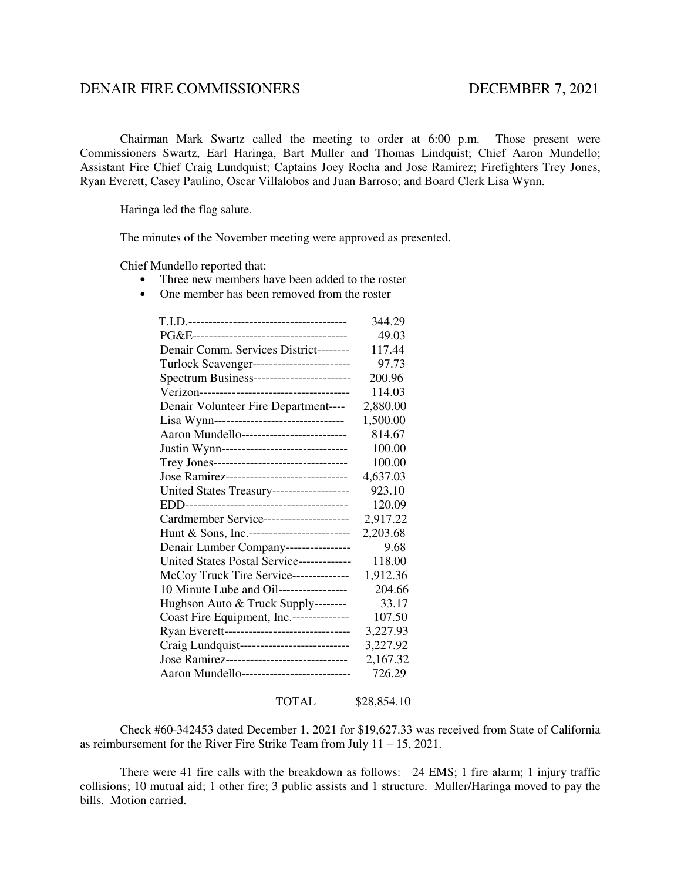## DENAIR FIRE COMMISSIONERS DECEMBER 7, 2021

 Chairman Mark Swartz called the meeting to order at 6:00 p.m. Those present were Commissioners Swartz, Earl Haringa, Bart Muller and Thomas Lindquist; Chief Aaron Mundello; Assistant Fire Chief Craig Lundquist; Captains Joey Rocha and Jose Ramirez; Firefighters Trey Jones, Ryan Everett, Casey Paulino, Oscar Villalobos and Juan Barroso; and Board Clerk Lisa Wynn.

Haringa led the flag salute.

The minutes of the November meeting were approved as presented.

Chief Mundello reported that:

- Three new members have been added to the roster
- One member has been removed from the roster

|                                              | 344.29   |
|----------------------------------------------|----------|
|                                              | 49.03    |
| Denair Comm. Services District--------       | 117.44   |
| Turlock Scavenger-------------------------   | 97.73    |
| Spectrum Business------------------------    | 200.96   |
|                                              | 114.03   |
| Denair Volunteer Fire Department----         | 2,880.00 |
| Lisa Wynn--------------------------------    | 1,500.00 |
| Aaron Mundello--------------------------     | 814.67   |
| Justin Wynn-------------------------------   | 100.00   |
| Trey Jones---------------------------------  | 100.00   |
| Jose Ramirez-------------------------------  | 4,637.03 |
| United States Treasury-------------------    | 923.10   |
|                                              | 120.09   |
| Cardmember Service---------------------      | 2,917.22 |
| Hunt & Sons, Inc.-------------------------   | 2,203.68 |
| Denair Lumber Company----------------        | 9.68     |
| United States Postal Service-------------    | 118.00   |
| McCoy Truck Tire Service--------------       | 1,912.36 |
| 10 Minute Lube and Oil-----------------      | 204.66   |
| Hughson Auto & Truck Supply--------          | 33.17    |
| Coast Fire Equipment, Inc.--------------     | 107.50   |
| Ryan Everett-------------------------------  | 3,227.93 |
| Craig Lundquist---------------------------   | 3,227.92 |
| Jose Ramirez-------------------------------- | 2,167.32 |
| Aaron Mundello---------------------------    | 726.29   |
|                                              |          |

TOTAL \$28,854.10

Check #60-342453 dated December 1, 2021 for \$19,627.33 was received from State of California as reimbursement for the River Fire Strike Team from July 11 – 15, 2021.

 There were 41 fire calls with the breakdown as follows: 24 EMS; 1 fire alarm; 1 injury traffic collisions; 10 mutual aid; 1 other fire; 3 public assists and 1 structure. Muller/Haringa moved to pay the bills. Motion carried.